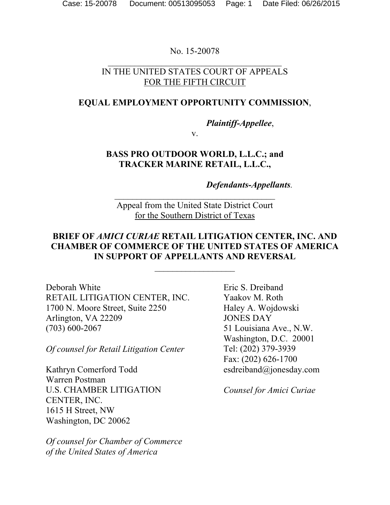No. 15-20078

## IN THE UNITED STATES COURT OF APPEALS FOR THE FIFTH CIRCUIT

### **EQUAL EMPLOYMENT OPPORTUNITY COMMISSION**,

*Plaintiff-Appellee*,

v.

## **BASS PRO OUTDOOR WORLD, L.L.C.; and TRACKER MARINE RETAIL, L.L.C.,**

*Defendants-Appellants.* 

Appeal from the United State District Court for the Southern District of Texas

### **BRIEF OF** *AMICI CURIAE* **RETAIL LITIGATION CENTER, INC. AND CHAMBER OF COMMERCE OF THE UNITED STATES OF AMERICA IN SUPPORT OF APPELLANTS AND REVERSAL**

 $\overline{\phantom{a}}$  , where  $\overline{\phantom{a}}$ 

Deborah White RETAIL LITIGATION CENTER, INC. 1700 N. Moore Street, Suite 2250 Arlington, VA 22209 (703) 600-2067

*Of counsel for Retail Litigation Center* 

Kathryn Comerford Todd Warren Postman U.S. CHAMBER LITIGATION CENTER, INC. 1615 H Street, NW Washington, DC 20062

*Of counsel for Chamber of Commerce of the United States of America* 

Eric S. Dreiband Yaakov M. Roth Haley A. Wojdowski JONES DAY 51 Louisiana Ave., N.W. Washington, D.C. 20001 Tel: (202) 379-3939 Fax: (202) 626-1700 esdreiband@jonesday.com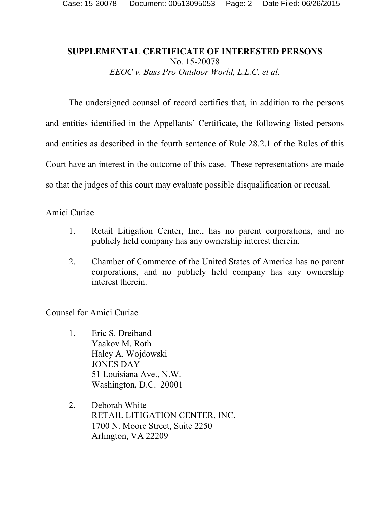### **SUPPLEMENTAL CERTIFICATE OF INTERESTED PERSONS**  No. 15-20078 *EEOC v. Bass Pro Outdoor World, L.L.C. et al.*

 The undersigned counsel of record certifies that, in addition to the persons and entities identified in the Appellants' Certificate, the following listed persons and entities as described in the fourth sentence of Rule 28.2.1 of the Rules of this Court have an interest in the outcome of this case. These representations are made so that the judges of this court may evaluate possible disqualification or recusal.

### Amici Curiae

- 1. Retail Litigation Center, Inc., has no parent corporations, and no publicly held company has any ownership interest therein.
- 2. Chamber of Commerce of the United States of America has no parent corporations, and no publicly held company has any ownership interest therein.

- 1. Eric S. Dreiband Yaakov M. Roth Haley A. Wojdowski JONES DAY 51 Louisiana Ave., N.W. Washington, D.C. 20001
- 2. Deborah White RETAIL LITIGATION CENTER, INC. 1700 N. Moore Street, Suite 2250 Arlington, VA 22209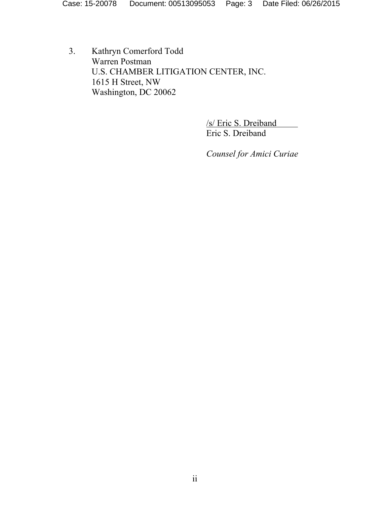3. Kathryn Comerford Todd Warren Postman U.S. CHAMBER LITIGATION CENTER, INC. 1615 H Street, NW Washington, DC 20062

> /s/ Eric S. Dreiband Eric S. Dreiband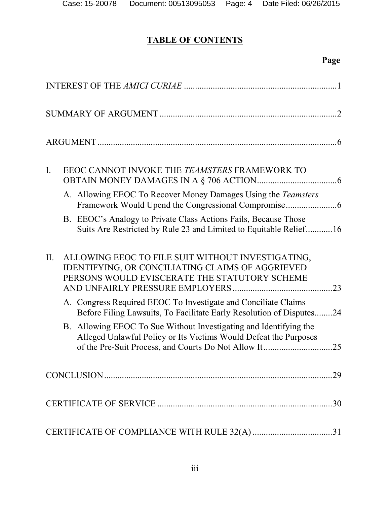# **TABLE OF CONTENTS**

# **Page**

| $\mathbf{I}$ . | EEOC CANNOT INVOKE THE TEAMSTERS FRAMEWORK TO                                                                                                                                                |     |
|----------------|----------------------------------------------------------------------------------------------------------------------------------------------------------------------------------------------|-----|
|                | A. Allowing EEOC To Recover Money Damages Using the Teamsters                                                                                                                                |     |
|                | B. EEOC's Analogy to Private Class Actions Fails, Because Those<br>Suits Are Restricted by Rule 23 and Limited to Equitable Relief16                                                         |     |
| II.            | ALLOWING EEOC TO FILE SUIT WITHOUT INVESTIGATING,<br>IDENTIFYING, OR CONCILIATING CLAIMS OF AGGRIEVED<br>PERSONS WOULD EVISCERATE THE STATUTORY SCHEME                                       | 23  |
|                | A. Congress Required EEOC To Investigate and Conciliate Claims<br>Before Filing Lawsuits, To Facilitate Early Resolution of Disputes24                                                       |     |
|                | B. Allowing EEOC To Sue Without Investigating and Identifying the<br>Alleged Unlawful Policy or Its Victims Would Defeat the Purposes<br>of the Pre-Suit Process, and Courts Do Not Allow It | .25 |
|                |                                                                                                                                                                                              | .29 |
|                |                                                                                                                                                                                              | .30 |
|                |                                                                                                                                                                                              |     |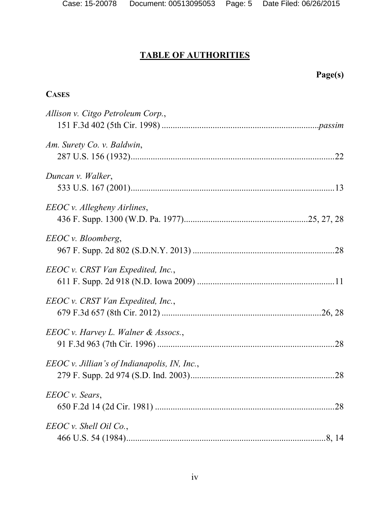|                                                | Page(s) |
|------------------------------------------------|---------|
| <b>CASES</b>                                   |         |
| Allison v. Citgo Petroleum Corp.,              |         |
| Am. Surety Co. v. Baldwin,                     |         |
| Duncan v. Walker,                              |         |
| EEOC v. Allegheny Airlines,                    |         |
| EEOC v. Bloomberg,                             |         |
| EEOC v. CRST Van Expedited, Inc.,              |         |
| EEOC v. CRST Van Expedited, Inc.,              |         |
| EEOC v. Harvey L. Walner & Assocs.,            | 28      |
| $EEOC$ v. Jillian's of Indianapolis, IN, Inc., |         |
| EEOC v. Sears,                                 |         |
| $EEOC v.$ Shell Oil Co.,                       |         |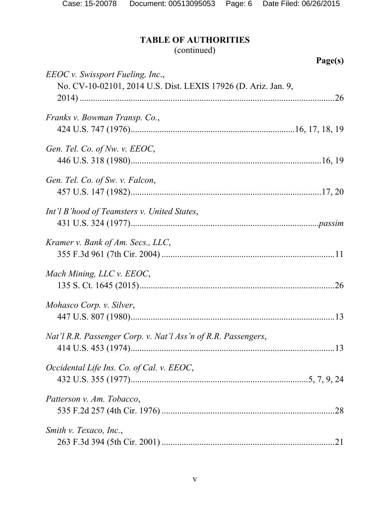# (continued)

|                                                                                                    | Page(s) |
|----------------------------------------------------------------------------------------------------|---------|
| EEOC v. Swissport Fueling, Inc.,<br>No. CV-10-02101, 2014 U.S. Dist. LEXIS 17926 (D. Ariz. Jan. 9, |         |
| Franks v. Bowman Transp. Co.,                                                                      |         |
|                                                                                                    |         |
| Gen. Tel. Co. of Nw. v. EEOC,                                                                      |         |
|                                                                                                    |         |
| Gen. Tel. Co. of Sw. v. Falcon,                                                                    |         |
|                                                                                                    |         |
| Int'l B'hood of Teamsters v. United States,                                                        |         |
|                                                                                                    |         |
| Kramer v. Bank of Am. Secs., LLC,                                                                  |         |
|                                                                                                    |         |
| Mach Mining, LLC v. EEOC,                                                                          |         |
| Mohasco Corp. v. Silver,                                                                           |         |
|                                                                                                    |         |
| Nat'l R.R. Passenger Corp. v. Nat'l Ass'n of R.R. Passengers,                                      |         |
|                                                                                                    |         |
| Occidental Life Ins. Co. of Cal. v. EEOC,                                                          |         |
|                                                                                                    |         |
| Patterson v. Am. Tobacco,                                                                          |         |
|                                                                                                    | .28     |
| Smith v. Texaco, Inc.,                                                                             |         |
|                                                                                                    |         |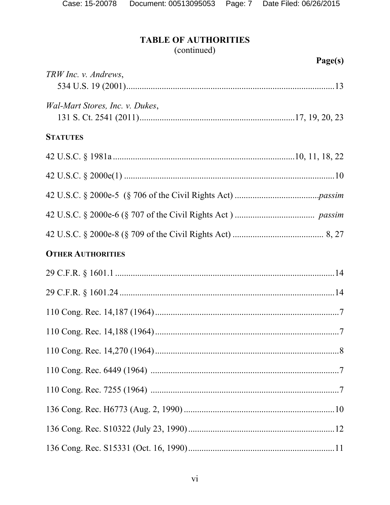# (continued)

|                                 | Page(s) |
|---------------------------------|---------|
| TRW Inc. v. Andrews,            |         |
| Wal-Mart Stores, Inc. v. Dukes, |         |
| <b>STATUTES</b>                 |         |
|                                 |         |
|                                 |         |
|                                 |         |
|                                 |         |
|                                 |         |
| <b>OTHER AUTHORITIES</b>        |         |
|                                 |         |
|                                 |         |
|                                 |         |
|                                 |         |
|                                 |         |
|                                 |         |
|                                 |         |
|                                 |         |
|                                 |         |
|                                 |         |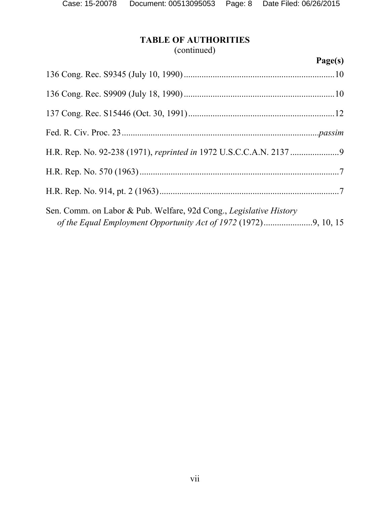# (continued)

# **Page(s)**

| Sen. Comm. on Labor & Pub. Welfare, 92d Cong., Legislative History |  |
|--------------------------------------------------------------------|--|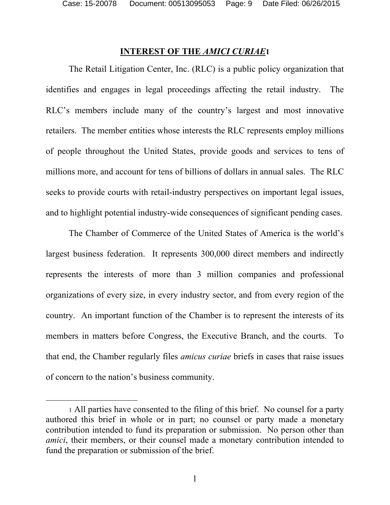Case: 15-20078 Document: 00513095053 Page: 9 Date Filed: 06/26/2015

### **INTEREST OF THE** *AMICI CURIAE***1**

The Retail Litigation Center, Inc. (RLC) is a public policy organization that identifies and engages in legal proceedings affecting the retail industry. The RLC's members include many of the country's largest and most innovative retailers. The member entities whose interests the RLC represents employ millions of people throughout the United States, provide goods and services to tens of millions more, and account for tens of billions of dollars in annual sales. The RLC seeks to provide courts with retail-industry perspectives on important legal issues, and to highlight potential industry-wide consequences of significant pending cases.

The Chamber of Commerce of the United States of America is the world's largest business federation. It represents 300,000 direct members and indirectly represents the interests of more than 3 million companies and professional organizations of every size, in every industry sector, and from every region of the country. An important function of the Chamber is to represent the interests of its members in matters before Congress, the Executive Branch, and the courts. To that end, the Chamber regularly files *amicus curiae* briefs in cases that raise issues of concern to the nation's business community.

 $\overline{a}$ 

1

<sup>1</sup> All parties have consented to the filing of this brief. No counsel for a party authored this brief in whole or in part; no counsel or party made a monetary contribution intended to fund its preparation or submission. No person other than *amici*, their members, or their counsel made a monetary contribution intended to fund the preparation or submission of the brief.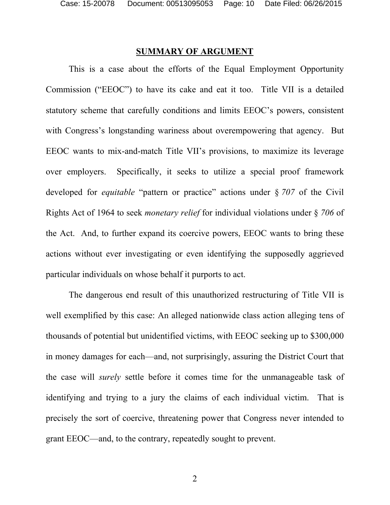#### **SUMMARY OF ARGUMENT**

 This is a case about the efforts of the Equal Employment Opportunity Commission ("EEOC") to have its cake and eat it too. Title VII is a detailed statutory scheme that carefully conditions and limits EEOC's powers, consistent with Congress's longstanding wariness about overempowering that agency. But EEOC wants to mix-and-match Title VII's provisions, to maximize its leverage over employers. Specifically, it seeks to utilize a special proof framework developed for *equitable* "pattern or practice" actions under § *707* of the Civil Rights Act of 1964 to seek *monetary relief* for individual violations under § *706* of the Act. And, to further expand its coercive powers, EEOC wants to bring these actions without ever investigating or even identifying the supposedly aggrieved particular individuals on whose behalf it purports to act.

The dangerous end result of this unauthorized restructuring of Title VII is well exemplified by this case: An alleged nationwide class action alleging tens of thousands of potential but unidentified victims, with EEOC seeking up to \$300,000 in money damages for each—and, not surprisingly, assuring the District Court that the case will *surely* settle before it comes time for the unmanageable task of identifying and trying to a jury the claims of each individual victim. That is precisely the sort of coercive, threatening power that Congress never intended to grant EEOC—and, to the contrary, repeatedly sought to prevent.

2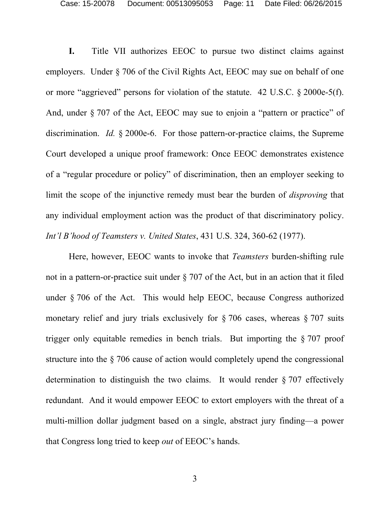**I.** Title VII authorizes EEOC to pursue two distinct claims against employers. Under § 706 of the Civil Rights Act, EEOC may sue on behalf of one or more "aggrieved" persons for violation of the statute. 42 U.S.C. § 2000e-5(f). And, under  $\S 707$  of the Act, EEOC may sue to enjoin a "pattern or practice" of discrimination. *Id.* § 2000e-6. For those pattern-or-practice claims, the Supreme Court developed a unique proof framework: Once EEOC demonstrates existence of a "regular procedure or policy" of discrimination, then an employer seeking to limit the scope of the injunctive remedy must bear the burden of *disproving* that any individual employment action was the product of that discriminatory policy. *Int'l B'hood of Teamsters v. United States*, 431 U.S. 324, 360-62 (1977).

Here, however, EEOC wants to invoke that *Teamsters* burden-shifting rule not in a pattern-or-practice suit under § 707 of the Act, but in an action that it filed under § 706 of the Act. This would help EEOC, because Congress authorized monetary relief and jury trials exclusively for § 706 cases, whereas § 707 suits trigger only equitable remedies in bench trials. But importing the § 707 proof structure into the § 706 cause of action would completely upend the congressional determination to distinguish the two claims. It would render § 707 effectively redundant. And it would empower EEOC to extort employers with the threat of a multi-million dollar judgment based on a single, abstract jury finding—a power that Congress long tried to keep *out* of EEOC's hands.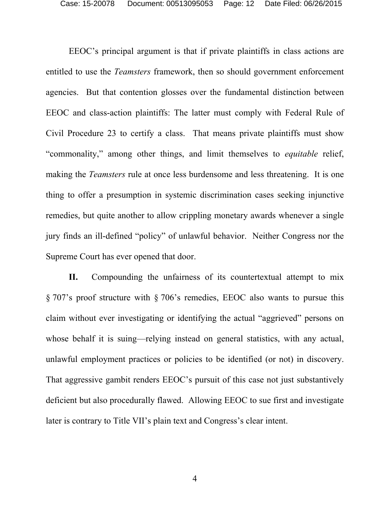EEOC's principal argument is that if private plaintiffs in class actions are entitled to use the *Teamsters* framework, then so should government enforcement agencies. But that contention glosses over the fundamental distinction between EEOC and class-action plaintiffs: The latter must comply with Federal Rule of Civil Procedure 23 to certify a class. That means private plaintiffs must show "commonality," among other things, and limit themselves to *equitable* relief, making the *Teamsters* rule at once less burdensome and less threatening. It is one thing to offer a presumption in systemic discrimination cases seeking injunctive remedies, but quite another to allow crippling monetary awards whenever a single jury finds an ill-defined "policy" of unlawful behavior. Neither Congress nor the Supreme Court has ever opened that door.

**II.** Compounding the unfairness of its countertextual attempt to mix § 707's proof structure with § 706's remedies, EEOC also wants to pursue this claim without ever investigating or identifying the actual "aggrieved" persons on whose behalf it is suing—relying instead on general statistics, with any actual, unlawful employment practices or policies to be identified (or not) in discovery. That aggressive gambit renders EEOC's pursuit of this case not just substantively deficient but also procedurally flawed. Allowing EEOC to sue first and investigate later is contrary to Title VII's plain text and Congress's clear intent.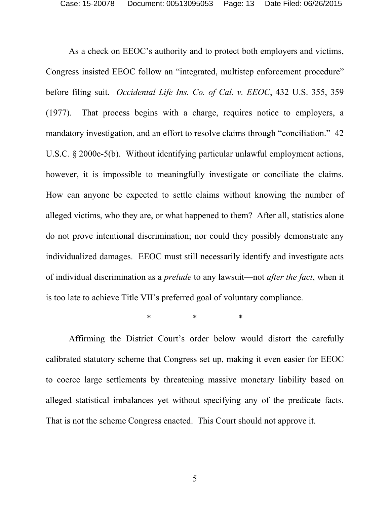Case: 15-20078 Document: 00513095053 Page: 13 Date Filed: 06/26/2015

As a check on EEOC's authority and to protect both employers and victims, Congress insisted EEOC follow an "integrated, multistep enforcement procedure" before filing suit. *Occidental Life Ins. Co. of Cal. v. EEOC*, 432 U.S. 355, 359 (1977). That process begins with a charge, requires notice to employers, a mandatory investigation, and an effort to resolve claims through "conciliation." 42 U.S.C. § 2000e-5(b). Without identifying particular unlawful employment actions, however, it is impossible to meaningfully investigate or conciliate the claims. How can anyone be expected to settle claims without knowing the number of alleged victims, who they are, or what happened to them? After all, statistics alone do not prove intentional discrimination; nor could they possibly demonstrate any individualized damages. EEOC must still necessarily identify and investigate acts of individual discrimination as a *prelude* to any lawsuit—not *after the fact*, when it is too late to achieve Title VII's preferred goal of voluntary compliance.

\* \* \*

Affirming the District Court's order below would distort the carefully calibrated statutory scheme that Congress set up, making it even easier for EEOC to coerce large settlements by threatening massive monetary liability based on alleged statistical imbalances yet without specifying any of the predicate facts. That is not the scheme Congress enacted. This Court should not approve it.

5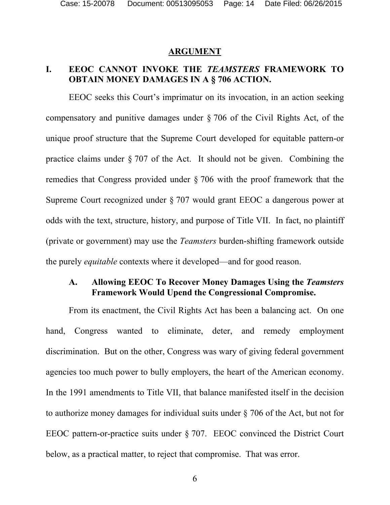#### **ARGUMENT**

### **I. EEOC CANNOT INVOKE THE** *TEAMSTERS* **FRAMEWORK TO OBTAIN MONEY DAMAGES IN A § 706 ACTION.**

EEOC seeks this Court's imprimatur on its invocation, in an action seeking compensatory and punitive damages under § 706 of the Civil Rights Act, of the unique proof structure that the Supreme Court developed for equitable pattern-or practice claims under § 707 of the Act. It should not be given. Combining the remedies that Congress provided under § 706 with the proof framework that the Supreme Court recognized under § 707 would grant EEOC a dangerous power at odds with the text, structure, history, and purpose of Title VII. In fact, no plaintiff (private or government) may use the *Teamsters* burden-shifting framework outside the purely *equitable* contexts where it developed—and for good reason.

### **A. Allowing EEOC To Recover Money Damages Using the** *Teamsters* **Framework Would Upend the Congressional Compromise.**

From its enactment, the Civil Rights Act has been a balancing act. On one hand, Congress wanted to eliminate, deter, and remedy employment discrimination. But on the other, Congress was wary of giving federal government agencies too much power to bully employers, the heart of the American economy. In the 1991 amendments to Title VII, that balance manifested itself in the decision to authorize money damages for individual suits under § 706 of the Act, but not for EEOC pattern-or-practice suits under § 707. EEOC convinced the District Court below, as a practical matter, to reject that compromise. That was error.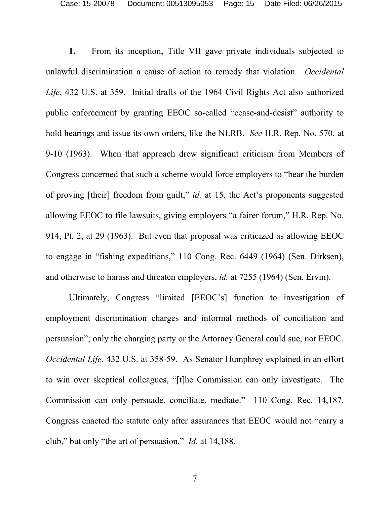**1.** From its inception, Title VII gave private individuals subjected to unlawful discrimination a cause of action to remedy that violation. *Occidental Life*, 432 U.S. at 359.Initial drafts of the 1964 Civil Rights Act also authorized public enforcement by granting EEOC so-called "cease-and-desist" authority to hold hearings and issue its own orders, like the NLRB. *See* H.R. Rep. No. 570, at 9-10 (1963). When that approach drew significant criticism from Members of Congress concerned that such a scheme would force employers to "bear the burden of proving [their] freedom from guilt," *id.* at 15, the Act's proponents suggested allowing EEOC to file lawsuits, giving employers "a fairer forum," H.R. Rep. No. 914, Pt. 2, at 29 (1963). But even that proposal was criticized as allowing EEOC to engage in "fishing expeditions," 110 Cong. Rec. 6449 (1964) (Sen. Dirksen), and otherwise to harass and threaten employers, *id.* at 7255 (1964) (Sen. Ervin).

Ultimately, Congress "limited [EEOC's] function to investigation of employment discrimination charges and informal methods of conciliation and persuasion"; only the charging party or the Attorney General could sue, not EEOC. *Occidental Life*, 432 U.S. at 358-59. As Senator Humphrey explained in an effort to win over skeptical colleagues, "[t]he Commission can only investigate. The Commission can only persuade, conciliate, mediate." 110 Cong. Rec. 14,187. Congress enacted the statute only after assurances that EEOC would not "carry a club," but only "the art of persuasion." *Id.* at 14,188.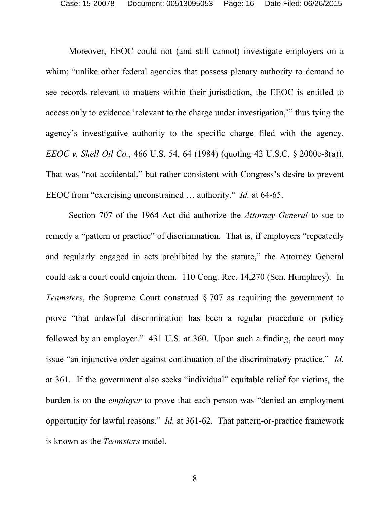Moreover, EEOC could not (and still cannot) investigate employers on a whim; "unlike other federal agencies that possess plenary authority to demand to see records relevant to matters within their jurisdiction, the EEOC is entitled to access only to evidence 'relevant to the charge under investigation,'" thus tying the agency's investigative authority to the specific charge filed with the agency. *EEOC v. Shell Oil Co.*, 466 U.S. 54, 64 (1984) (quoting 42 U.S.C. § 2000e-8(a)). That was "not accidental," but rather consistent with Congress's desire to prevent EEOC from "exercising unconstrained … authority." *Id.* at 64-65.

Section 707 of the 1964 Act did authorize the *Attorney General* to sue to remedy a "pattern or practice" of discrimination. That is, if employers "repeatedly and regularly engaged in acts prohibited by the statute," the Attorney General could ask a court could enjoin them. 110 Cong. Rec. 14,270 (Sen. Humphrey). In *Teamsters*, the Supreme Court construed § 707 as requiring the government to prove "that unlawful discrimination has been a regular procedure or policy followed by an employer." 431 U.S. at 360. Upon such a finding, the court may issue "an injunctive order against continuation of the discriminatory practice." *Id.* at 361. If the government also seeks "individual" equitable relief for victims, the burden is on the *employer* to prove that each person was "denied an employment opportunity for lawful reasons." *Id.* at 361-62. That pattern-or-practice framework is known as the *Teamsters* model.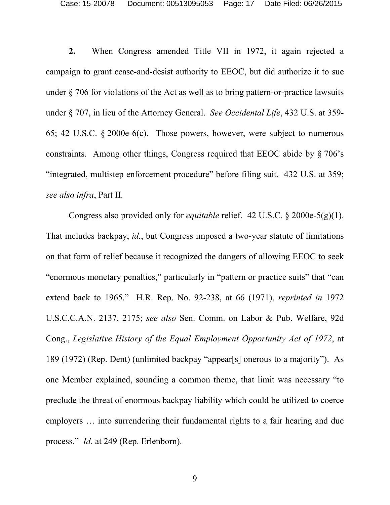Case: 15-20078 Document: 00513095053 Page: 17 Date Filed: 06/26/2015

**2.** When Congress amended Title VII in 1972, it again rejected a campaign to grant cease-and-desist authority to EEOC, but did authorize it to sue under § 706 for violations of the Act as well as to bring pattern-or-practice lawsuits under § 707, in lieu of the Attorney General. *See Occidental Life*, 432 U.S. at 359- 65; 42 U.S.C. § 2000e-6(c). Those powers, however, were subject to numerous constraints. Among other things, Congress required that EEOC abide by § 706's "integrated, multistep enforcement procedure" before filing suit. 432 U.S. at 359; *see also infra*, Part II.

Congress also provided only for *equitable* relief. 42 U.S.C. § 2000e-5(g)(1). That includes backpay, *id.*, but Congress imposed a two-year statute of limitations on that form of relief because it recognized the dangers of allowing EEOC to seek "enormous monetary penalties," particularly in "pattern or practice suits" that "can extend back to 1965." H.R. Rep. No. 92-238, at 66 (1971), *reprinted in* 1972 U.S.C.C.A.N. 2137, 2175; *see also* Sen. Comm. on Labor & Pub. Welfare, 92d Cong., *Legislative History of the Equal Employment Opportunity Act of 1972*, at 189 (1972) (Rep. Dent) (unlimited backpay "appear[s] onerous to a majority"). As one Member explained, sounding a common theme, that limit was necessary "to preclude the threat of enormous backpay liability which could be utilized to coerce employers … into surrendering their fundamental rights to a fair hearing and due process." *Id.* at 249 (Rep. Erlenborn).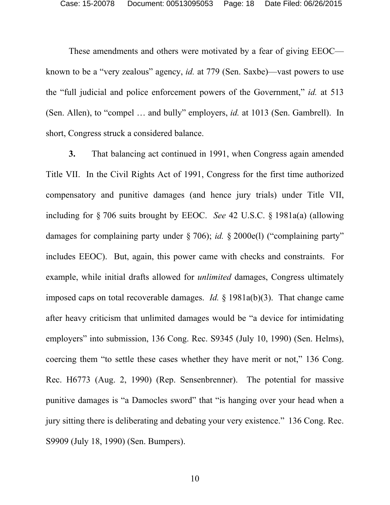These amendments and others were motivated by a fear of giving EEOC known to be a "very zealous" agency, *id.* at 779 (Sen. Saxbe)—vast powers to use the "full judicial and police enforcement powers of the Government," *id.* at 513 (Sen. Allen), to "compel … and bully" employers, *id.* at 1013 (Sen. Gambrell). In short, Congress struck a considered balance.

**3.** That balancing act continued in 1991, when Congress again amended Title VII. In the Civil Rights Act of 1991, Congress for the first time authorized compensatory and punitive damages (and hence jury trials) under Title VII, including for § 706 suits brought by EEOC. *See* 42 U.S.C. § 1981a(a) (allowing damages for complaining party under § 706); *id.* § 2000e(l) ("complaining party" includes EEOC). But, again, this power came with checks and constraints. For example, while initial drafts allowed for *unlimited* damages, Congress ultimately imposed caps on total recoverable damages. *Id.* § 1981a(b)(3). That change came after heavy criticism that unlimited damages would be "a device for intimidating employers" into submission, 136 Cong. Rec. S9345 (July 10, 1990) (Sen. Helms), coercing them "to settle these cases whether they have merit or not," 136 Cong. Rec. H6773 (Aug. 2, 1990) (Rep. Sensenbrenner). The potential for massive punitive damages is "a Damocles sword" that "is hanging over your head when a jury sitting there is deliberating and debating your very existence." 136 Cong. Rec. S9909 (July 18, 1990) (Sen. Bumpers).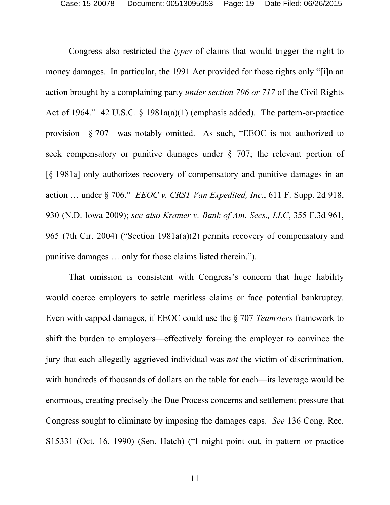Congress also restricted the *types* of claims that would trigger the right to money damages. In particular, the 1991 Act provided for those rights only "[i]n an action brought by a complaining party *under section 706 or 717* of the Civil Rights Act of 1964." 42 U.S.C. § 1981a(a)(1) (emphasis added). The pattern-or-practice provision—§ 707—was notably omitted. As such, "EEOC is not authorized to seek compensatory or punitive damages under § 707; the relevant portion of [§ 1981a] only authorizes recovery of compensatory and punitive damages in an action … under § 706." *EEOC v. CRST Van Expedited, Inc.*, 611 F. Supp. 2d 918, 930 (N.D. Iowa 2009); *see also Kramer v. Bank of Am. Secs., LLC*, 355 F.3d 961, 965 (7th Cir. 2004) ("Section 1981a(a)(2) permits recovery of compensatory and punitive damages … only for those claims listed therein.").

That omission is consistent with Congress's concern that huge liability would coerce employers to settle meritless claims or face potential bankruptcy. Even with capped damages, if EEOC could use the § 707 *Teamsters* framework to shift the burden to employers—effectively forcing the employer to convince the jury that each allegedly aggrieved individual was *not* the victim of discrimination, with hundreds of thousands of dollars on the table for each—its leverage would be enormous, creating precisely the Due Process concerns and settlement pressure that Congress sought to eliminate by imposing the damages caps. *See* 136 Cong. Rec. S15331 (Oct. 16, 1990) (Sen. Hatch) ("I might point out, in pattern or practice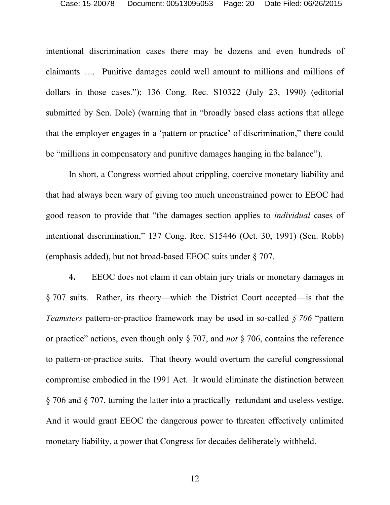intentional discrimination cases there may be dozens and even hundreds of claimants …. Punitive damages could well amount to millions and millions of dollars in those cases."); 136 Cong. Rec. S10322 (July 23, 1990) (editorial submitted by Sen. Dole) (warning that in "broadly based class actions that allege that the employer engages in a 'pattern or practice' of discrimination," there could be "millions in compensatory and punitive damages hanging in the balance").

In short, a Congress worried about crippling, coercive monetary liability and that had always been wary of giving too much unconstrained power to EEOC had good reason to provide that "the damages section applies to *individual* cases of intentional discrimination," 137 Cong. Rec. S15446 (Oct. 30, 1991) (Sen. Robb) (emphasis added), but not broad-based EEOC suits under § 707.

**4.** EEOC does not claim it can obtain jury trials or monetary damages in § 707 suits. Rather, its theory—which the District Court accepted—is that the *Teamsters* pattern-or-practice framework may be used in so-called *§ 706* "pattern or practice" actions, even though only § 707, and *not* § 706, contains the reference to pattern-or-practice suits. That theory would overturn the careful congressional compromise embodied in the 1991 Act. It would eliminate the distinction between § 706 and § 707, turning the latter into a practically redundant and useless vestige. And it would grant EEOC the dangerous power to threaten effectively unlimited monetary liability, a power that Congress for decades deliberately withheld.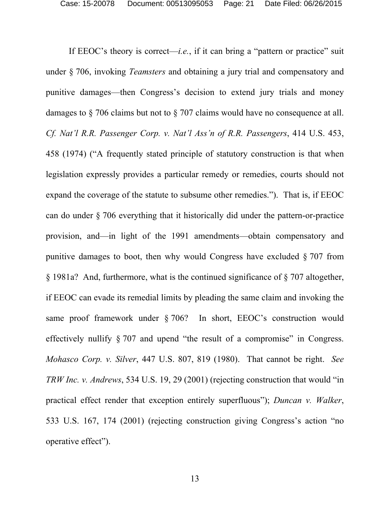If EEOC's theory is correct—*i.e.*, if it can bring a "pattern or practice" suit under § 706, invoking *Teamsters* and obtaining a jury trial and compensatory and punitive damages—then Congress's decision to extend jury trials and money damages to § 706 claims but not to § 707 claims would have no consequence at all. *Cf. Nat'l R.R. Passenger Corp. v. Nat'l Ass'n of R.R. Passengers*, 414 U.S. 453, 458 (1974) ("A frequently stated principle of statutory construction is that when legislation expressly provides a particular remedy or remedies, courts should not expand the coverage of the statute to subsume other remedies.").That is, if EEOC can do under § 706 everything that it historically did under the pattern-or-practice provision, and—in light of the 1991 amendments—obtain compensatory and punitive damages to boot, then why would Congress have excluded § 707 from § 1981a? And, furthermore, what is the continued significance of § 707 altogether, if EEOC can evade its remedial limits by pleading the same claim and invoking the same proof framework under § 706? In short, EEOC's construction would effectively nullify § 707 and upend "the result of a compromise" in Congress. *Mohasco Corp. v. Silver*, 447 U.S. 807, 819 (1980). That cannot be right. *See TRW Inc. v. Andrews*, 534 U.S. 19, 29 (2001) (rejecting construction that would "in practical effect render that exception entirely superfluous"); *Duncan v. Walker*, 533 U.S. 167, 174 (2001) (rejecting construction giving Congress's action "no operative effect").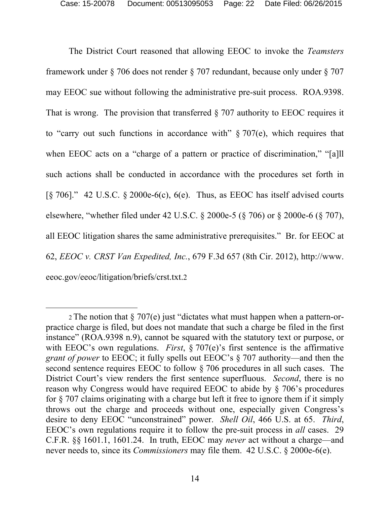The District Court reasoned that allowing EEOC to invoke the *Teamsters* framework under § 706 does not render § 707 redundant, because only under § 707 may EEOC sue without following the administrative pre-suit process. ROA.9398. That is wrong. The provision that transferred  $\S 707$  authority to EEOC requires it to "carry out such functions in accordance with"  $\S 707(e)$ , which requires that when EEOC acts on a "charge of a pattern or practice of discrimination," "[a]ll such actions shall be conducted in accordance with the procedures set forth in [ $§$  706]." 42 U.S.C.  $§$  2000e-6(c), 6(e). Thus, as EEOC has itself advised courts elsewhere, "whether filed under 42 U.S.C. § 2000e-5 (§ 706) or § 2000e-6 (§ 707), all EEOC litigation shares the same administrative prerequisites." Br. for EEOC at 62, *EEOC v. CRST Van Expedited, Inc.*, 679 F.3d 657 (8th Cir. 2012), http://www. eeoc.gov/eeoc/litigation/briefs/crst.txt.2

 $\overline{a}$ 

<sup>2</sup> The notion that § 707(e) just "dictates what must happen when a pattern-orpractice charge is filed, but does not mandate that such a charge be filed in the first instance" (ROA.9398 n.9), cannot be squared with the statutory text or purpose, or with EEOC's own regulations. *First*, § 707(e)'s first sentence is the affirmative *grant of power* to EEOC; it fully spells out EEOC's § 707 authority—and then the second sentence requires EEOC to follow § 706 procedures in all such cases. The District Court's view renders the first sentence superfluous. *Second*, there is no reason why Congress would have required EEOC to abide by § 706's procedures for § 707 claims originating with a charge but left it free to ignore them if it simply throws out the charge and proceeds without one, especially given Congress's desire to deny EEOC "unconstrained" power. *Shell Oil*, 466 U.S. at 65. *Third*, EEOC's own regulations require it to follow the pre-suit process in *all* cases. 29 C.F.R. §§ 1601.1, 1601.24.In truth, EEOC may *never* act without a charge—and never needs to, since its *Commissioners* may file them. 42 U.S.C. § 2000e-6(e).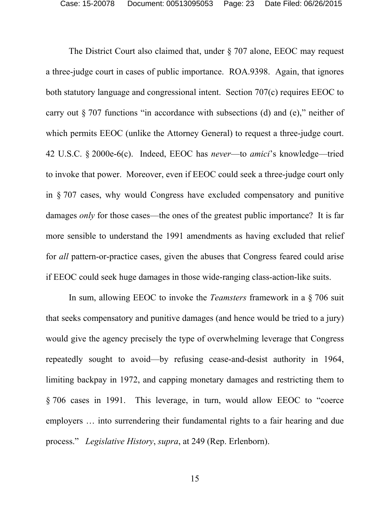The District Court also claimed that, under § 707 alone, EEOC may request a three-judge court in cases of public importance. ROA.9398. Again, that ignores both statutory language and congressional intent. Section 707(c) requires EEOC to carry out § 707 functions "in accordance with subsections (d) and (e)," neither of which permits EEOC (unlike the Attorney General) to request a three-judge court. 42 U.S.C. § 2000e-6(c). Indeed, EEOC has *never*—to *amici*'s knowledge—tried to invoke that power. Moreover, even if EEOC could seek a three-judge court only in § 707 cases, why would Congress have excluded compensatory and punitive damages *only* for those cases—the ones of the greatest public importance? It is far more sensible to understand the 1991 amendments as having excluded that relief for *all* pattern-or-practice cases, given the abuses that Congress feared could arise if EEOC could seek huge damages in those wide-ranging class-action-like suits.

In sum, allowing EEOC to invoke the *Teamsters* framework in a § 706 suit that seeks compensatory and punitive damages (and hence would be tried to a jury) would give the agency precisely the type of overwhelming leverage that Congress repeatedly sought to avoid—by refusing cease-and-desist authority in 1964, limiting backpay in 1972, and capping monetary damages and restricting them to § 706 cases in 1991. This leverage, in turn, would allow EEOC to "coerce employers … into surrendering their fundamental rights to a fair hearing and due process." *Legislative History*, *supra*, at 249 (Rep. Erlenborn).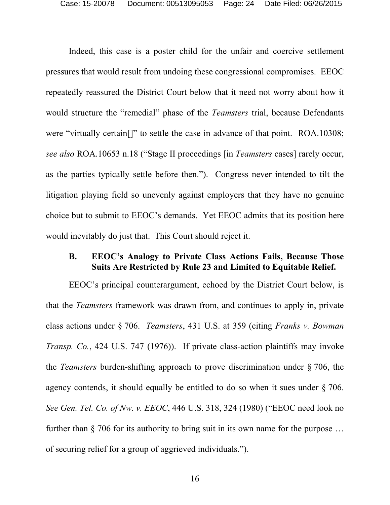Indeed, this case is a poster child for the unfair and coercive settlement pressures that would result from undoing these congressional compromises. EEOC repeatedly reassured the District Court below that it need not worry about how it would structure the "remedial" phase of the *Teamsters* trial, because Defendants were "virtually certain[]" to settle the case in advance of that point. ROA.10308; *see also* ROA.10653 n.18 ("Stage II proceedings [in *Teamsters* cases] rarely occur, as the parties typically settle before then."). Congress never intended to tilt the litigation playing field so unevenly against employers that they have no genuine choice but to submit to EEOC's demands. Yet EEOC admits that its position here would inevitably do just that. This Court should reject it.

### **B. EEOC's Analogy to Private Class Actions Fails, Because Those Suits Are Restricted by Rule 23 and Limited to Equitable Relief.**

 EEOC's principal counterargument, echoed by the District Court below, is that the *Teamsters* framework was drawn from, and continues to apply in, private class actions under § 706. *Teamsters*, 431 U.S. at 359 (citing *Franks v. Bowman Transp. Co.*, 424 U.S. 747 (1976)). If private class-action plaintiffs may invoke the *Teamsters* burden-shifting approach to prove discrimination under § 706, the agency contends, it should equally be entitled to do so when it sues under § 706. *See Gen. Tel. Co. of Nw. v. EEOC*, 446 U.S. 318, 324 (1980) ("EEOC need look no further than § 706 for its authority to bring suit in its own name for the purpose … of securing relief for a group of aggrieved individuals.").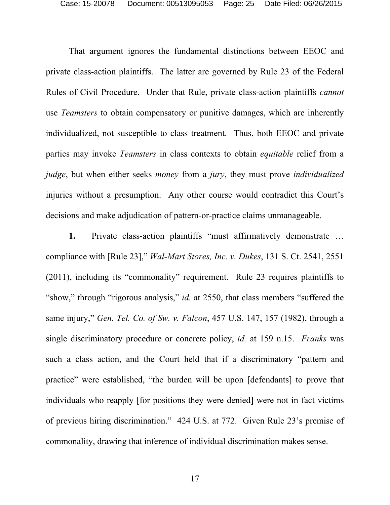That argument ignores the fundamental distinctions between EEOC and private class-action plaintiffs. The latter are governed by Rule 23 of the Federal Rules of Civil Procedure. Under that Rule, private class-action plaintiffs *cannot* use *Teamsters* to obtain compensatory or punitive damages, which are inherently individualized, not susceptible to class treatment. Thus, both EEOC and private parties may invoke *Teamsters* in class contexts to obtain *equitable* relief from a *judge*, but when either seeks *money* from a *jury*, they must prove *individualized* injuries without a presumption. Any other course would contradict this Court's decisions and make adjudication of pattern-or-practice claims unmanageable.

**1.** Private class-action plaintiffs "must affirmatively demonstrate … compliance with [Rule 23]," *Wal-Mart Stores, Inc. v. Dukes*, 131 S. Ct. 2541, 2551 (2011), including its "commonality" requirement. Rule 23 requires plaintiffs to "show," through "rigorous analysis," *id.* at 2550, that class members "suffered the same injury," *Gen. Tel. Co. of Sw. v. Falcon*, 457 U.S. 147, 157 (1982), through a single discriminatory procedure or concrete policy, *id.* at 159 n.15. *Franks* was such a class action, and the Court held that if a discriminatory "pattern and practice" were established, "the burden will be upon [defendants] to prove that individuals who reapply [for positions they were denied] were not in fact victims of previous hiring discrimination." 424 U.S. at 772. Given Rule 23's premise of commonality, drawing that inference of individual discrimination makes sense.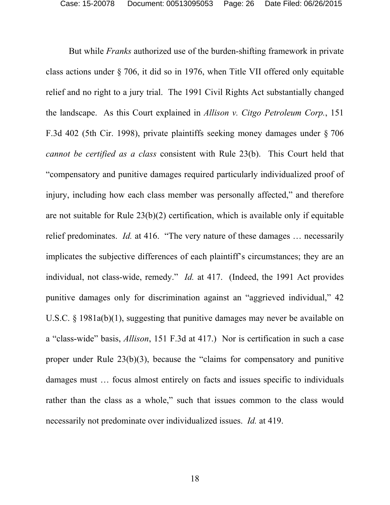But while *Franks* authorized use of the burden-shifting framework in private class actions under § 706, it did so in 1976, when Title VII offered only equitable relief and no right to a jury trial. The 1991 Civil Rights Act substantially changed the landscape. As this Court explained in *Allison v. Citgo Petroleum Corp.*, 151 F.3d 402 (5th Cir. 1998), private plaintiffs seeking money damages under § 706 *cannot be certified as a class* consistent with Rule 23(b). This Court held that "compensatory and punitive damages required particularly individualized proof of injury, including how each class member was personally affected," and therefore are not suitable for Rule 23(b)(2) certification, which is available only if equitable relief predominates. *Id.* at 416. "The very nature of these damages … necessarily implicates the subjective differences of each plaintiff's circumstances; they are an individual, not class-wide, remedy." *Id.* at 417. (Indeed, the 1991 Act provides punitive damages only for discrimination against an "aggrieved individual," 42 U.S.C. § 1981a(b)(1), suggesting that punitive damages may never be available on a "class-wide" basis, *Allison*, 151 F.3d at 417.) Nor is certification in such a case proper under Rule 23(b)(3), because the "claims for compensatory and punitive damages must … focus almost entirely on facts and issues specific to individuals rather than the class as a whole," such that issues common to the class would necessarily not predominate over individualized issues. *Id.* at 419.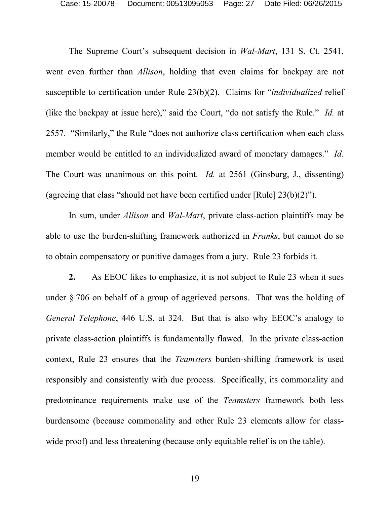The Supreme Court's subsequent decision in *Wal-Mart*, 131 S. Ct. 2541, went even further than *Allison*, holding that even claims for backpay are not susceptible to certification under Rule 23(b)(2). Claims for "*individualized* relief (like the backpay at issue here)," said the Court, "do not satisfy the Rule." *Id.* at 2557. "Similarly," the Rule "does not authorize class certification when each class member would be entitled to an individualized award of monetary damages." *Id.* The Court was unanimous on this point. *Id.* at 2561 (Ginsburg, J., dissenting) (agreeing that class "should not have been certified under [Rule] 23(b)(2)").

In sum, under *Allison* and *Wal-Mart*, private class-action plaintiffs may be able to use the burden-shifting framework authorized in *Franks*, but cannot do so to obtain compensatory or punitive damages from a jury. Rule 23 forbids it.

**2.** As EEOC likes to emphasize, it is not subject to Rule 23 when it sues under § 706 on behalf of a group of aggrieved persons. That was the holding of *General Telephone*, 446 U.S. at 324. But that is also why EEOC's analogy to private class-action plaintiffs is fundamentally flawed. In the private class-action context, Rule 23 ensures that the *Teamsters* burden-shifting framework is used responsibly and consistently with due process. Specifically, its commonality and predominance requirements make use of the *Teamsters* framework both less burdensome (because commonality and other Rule 23 elements allow for classwide proof) and less threatening (because only equitable relief is on the table).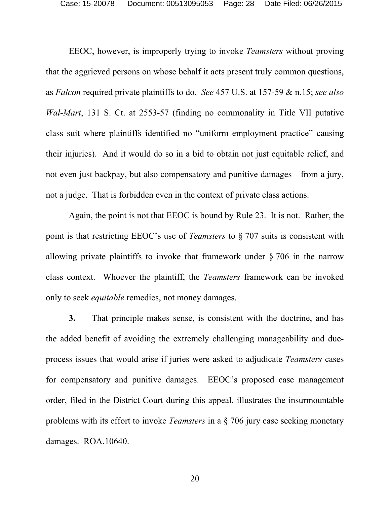EEOC, however, is improperly trying to invoke *Teamsters* without proving that the aggrieved persons on whose behalf it acts present truly common questions, as *Falcon* required private plaintiffs to do. *See* 457 U.S. at 157-59 & n.15; *see also Wal-Mart*, 131 S. Ct. at 2553-57 (finding no commonality in Title VII putative class suit where plaintiffs identified no "uniform employment practice" causing their injuries). And it would do so in a bid to obtain not just equitable relief, and not even just backpay, but also compensatory and punitive damages—from a jury, not a judge. That is forbidden even in the context of private class actions.

Again, the point is not that EEOC is bound by Rule 23. It is not. Rather, the point is that restricting EEOC's use of *Teamsters* to § 707 suits is consistent with allowing private plaintiffs to invoke that framework under § 706 in the narrow class context. Whoever the plaintiff, the *Teamsters* framework can be invoked only to seek *equitable* remedies, not money damages.

**3.** That principle makes sense, is consistent with the doctrine, and has the added benefit of avoiding the extremely challenging manageability and dueprocess issues that would arise if juries were asked to adjudicate *Teamsters* cases for compensatory and punitive damages. EEOC's proposed case management order, filed in the District Court during this appeal, illustrates the insurmountable problems with its effort to invoke *Teamsters* in a § 706 jury case seeking monetary damages. ROA.10640.

20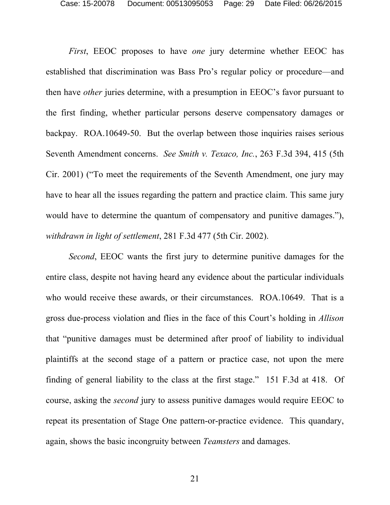*First*, EEOC proposes to have *one* jury determine whether EEOC has established that discrimination was Bass Pro's regular policy or procedure—and then have *other* juries determine, with a presumption in EEOC's favor pursuant to the first finding, whether particular persons deserve compensatory damages or backpay. ROA.10649-50. But the overlap between those inquiries raises serious Seventh Amendment concerns. *See Smith v. Texaco, Inc.*, 263 F.3d 394, 415 (5th Cir. 2001) ("To meet the requirements of the Seventh Amendment, one jury may have to hear all the issues regarding the pattern and practice claim. This same jury would have to determine the quantum of compensatory and punitive damages."), *withdrawn in light of settlement*, 281 F.3d 477 (5th Cir. 2002).

*Second*, EEOC wants the first jury to determine punitive damages for the entire class, despite not having heard any evidence about the particular individuals who would receive these awards, or their circumstances. ROA.10649. That is a gross due-process violation and flies in the face of this Court's holding in *Allison*  that "punitive damages must be determined after proof of liability to individual plaintiffs at the second stage of a pattern or practice case, not upon the mere finding of general liability to the class at the first stage." 151 F.3d at 418. Of course, asking the *second* jury to assess punitive damages would require EEOC to repeat its presentation of Stage One pattern-or-practice evidence. This quandary, again, shows the basic incongruity between *Teamsters* and damages.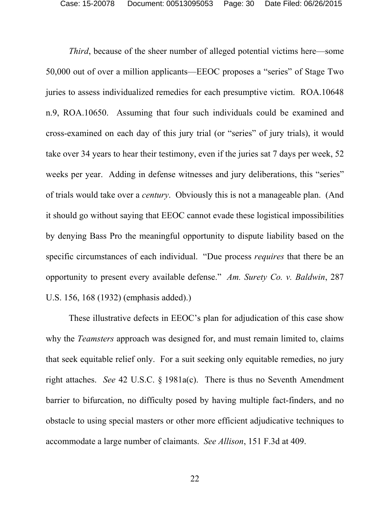*Third*, because of the sheer number of alleged potential victims here—some 50,000 out of over a million applicants—EEOC proposes a "series" of Stage Two juries to assess individualized remedies for each presumptive victim. ROA.10648 n.9, ROA.10650. Assuming that four such individuals could be examined and cross-examined on each day of this jury trial (or "series" of jury trials), it would take over 34 years to hear their testimony, even if the juries sat 7 days per week, 52 weeks per year. Adding in defense witnesses and jury deliberations, this "series" of trials would take over a *century*. Obviously this is not a manageable plan. (And it should go without saying that EEOC cannot evade these logistical impossibilities by denying Bass Pro the meaningful opportunity to dispute liability based on the specific circumstances of each individual. "Due process *requires* that there be an opportunity to present every available defense." *Am. Surety Co. v. Baldwin*, 287 U.S. 156, 168 (1932) (emphasis added).)

These illustrative defects in EEOC's plan for adjudication of this case show why the *Teamsters* approach was designed for, and must remain limited to, claims that seek equitable relief only. For a suit seeking only equitable remedies, no jury right attaches. *See* 42 U.S.C. § 1981a(c). There is thus no Seventh Amendment barrier to bifurcation, no difficulty posed by having multiple fact-finders, and no obstacle to using special masters or other more efficient adjudicative techniques to accommodate a large number of claimants. *See Allison*, 151 F.3d at 409.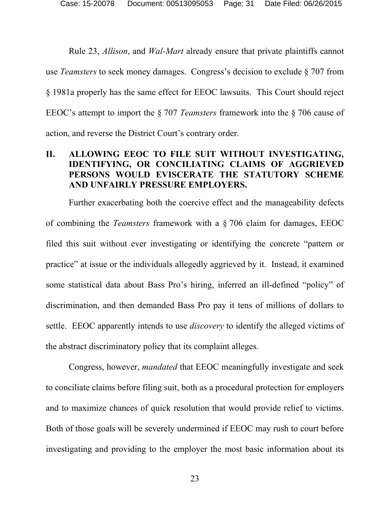Rule 23, *Allison*, and *Wal-Mart* already ensure that private plaintiffs cannot use *Teamsters* to seek money damages. Congress's decision to exclude § 707 from § 1981a properly has the same effect for EEOC lawsuits. This Court should reject EEOC's attempt to import the § 707 *Teamsters* framework into the § 706 cause of action, and reverse the District Court's contrary order.

### **II. ALLOWING EEOC TO FILE SUIT WITHOUT INVESTIGATING, IDENTIFYING, OR CONCILIATING CLAIMS OF AGGRIEVED PERSONS WOULD EVISCERATE THE STATUTORY SCHEME AND UNFAIRLY PRESSURE EMPLOYERS.**

Further exacerbating both the coercive effect and the manageability defects of combining the *Teamsters* framework with a § 706 claim for damages, EEOC filed this suit without ever investigating or identifying the concrete "pattern or practice" at issue or the individuals allegedly aggrieved by it. Instead, it examined some statistical data about Bass Pro's hiring, inferred an ill-defined "policy" of discrimination, and then demanded Bass Pro pay it tens of millions of dollars to settle. EEOC apparently intends to use *discovery* to identify the alleged victims of the abstract discriminatory policy that its complaint alleges.

Congress, however, *mandated* that EEOC meaningfully investigate and seek to conciliate claims before filing suit, both as a procedural protection for employers and to maximize chances of quick resolution that would provide relief to victims. Both of those goals will be severely undermined if EEOC may rush to court before investigating and providing to the employer the most basic information about its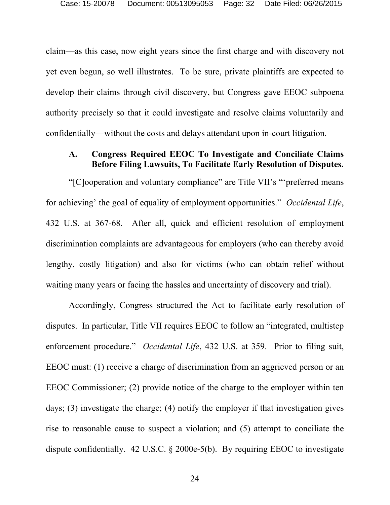claim—as this case, now eight years since the first charge and with discovery not yet even begun, so well illustrates. To be sure, private plaintiffs are expected to develop their claims through civil discovery, but Congress gave EEOC subpoena authority precisely so that it could investigate and resolve claims voluntarily and confidentially—without the costs and delays attendant upon in-court litigation.

### **A. Congress Required EEOC To Investigate and Conciliate Claims Before Filing Lawsuits, To Facilitate Early Resolution of Disputes.**

"[C]ooperation and voluntary compliance" are Title VII's "'preferred means for achieving' the goal of equality of employment opportunities." *Occidental Life*, 432 U.S. at 367-68. After all, quick and efficient resolution of employment discrimination complaints are advantageous for employers (who can thereby avoid lengthy, costly litigation) and also for victims (who can obtain relief without waiting many years or facing the hassles and uncertainty of discovery and trial).

Accordingly, Congress structured the Act to facilitate early resolution of disputes. In particular, Title VII requires EEOC to follow an "integrated, multistep enforcement procedure." *Occidental Life*, 432 U.S. at 359. Prior to filing suit, EEOC must: (1) receive a charge of discrimination from an aggrieved person or an EEOC Commissioner; (2) provide notice of the charge to the employer within ten days; (3) investigate the charge; (4) notify the employer if that investigation gives rise to reasonable cause to suspect a violation; and (5) attempt to conciliate the dispute confidentially. 42 U.S.C. § 2000e-5(b). By requiring EEOC to investigate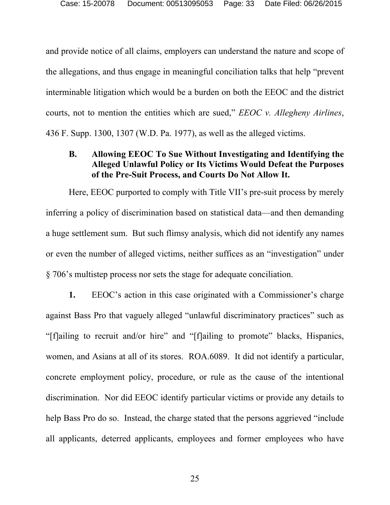and provide notice of all claims, employers can understand the nature and scope of the allegations, and thus engage in meaningful conciliation talks that help "prevent interminable litigation which would be a burden on both the EEOC and the district courts, not to mention the entities which are sued," *EEOC v. Allegheny Airlines*, 436 F. Supp. 1300, 1307 (W.D. Pa. 1977), as well as the alleged victims.

### **B. Allowing EEOC To Sue Without Investigating and Identifying the Alleged Unlawful Policy or Its Victims Would Defeat the Purposes of the Pre-Suit Process, and Courts Do Not Allow It.**

Here, EEOC purported to comply with Title VII's pre-suit process by merely inferring a policy of discrimination based on statistical data—and then demanding a huge settlement sum. But such flimsy analysis, which did not identify any names or even the number of alleged victims, neither suffices as an "investigation" under § 706's multistep process nor sets the stage for adequate conciliation.

**1.** EEOC's action in this case originated with a Commissioner's charge against Bass Pro that vaguely alleged "unlawful discriminatory practices" such as "[f]ailing to recruit and/or hire" and "[f]ailing to promote" blacks, Hispanics, women, and Asians at all of its stores. ROA.6089. It did not identify a particular, concrete employment policy, procedure, or rule as the cause of the intentional discrimination. Nor did EEOC identify particular victims or provide any details to help Bass Pro do so. Instead, the charge stated that the persons aggrieved "include all applicants, deterred applicants, employees and former employees who have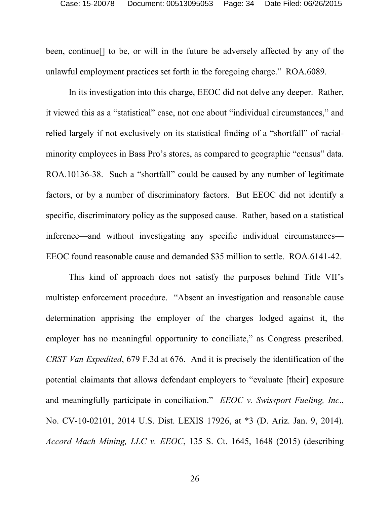been, continue[] to be, or will in the future be adversely affected by any of the unlawful employment practices set forth in the foregoing charge." ROA.6089.

In its investigation into this charge, EEOC did not delve any deeper. Rather, it viewed this as a "statistical" case, not one about "individual circumstances," and relied largely if not exclusively on its statistical finding of a "shortfall" of racialminority employees in Bass Pro's stores, as compared to geographic "census" data. ROA.10136-38. Such a "shortfall" could be caused by any number of legitimate factors, or by a number of discriminatory factors. But EEOC did not identify a specific, discriminatory policy as the supposed cause. Rather, based on a statistical inference—and without investigating any specific individual circumstances— EEOC found reasonable cause and demanded \$35 million to settle. ROA.6141-42.

This kind of approach does not satisfy the purposes behind Title VII's multistep enforcement procedure. "Absent an investigation and reasonable cause determination apprising the employer of the charges lodged against it, the employer has no meaningful opportunity to conciliate," as Congress prescribed. *CRST Van Expedited*, 679 F.3d at 676. And it is precisely the identification of the potential claimants that allows defendant employers to "evaluate [their] exposure and meaningfully participate in conciliation." *EEOC v. Swissport Fueling, Inc*., No. CV-10-02101, 2014 U.S. Dist. LEXIS 17926, at \*3 (D. Ariz. Jan. 9, 2014). *Accord Mach Mining, LLC v. EEOC*, 135 S. Ct. 1645, 1648 (2015) (describing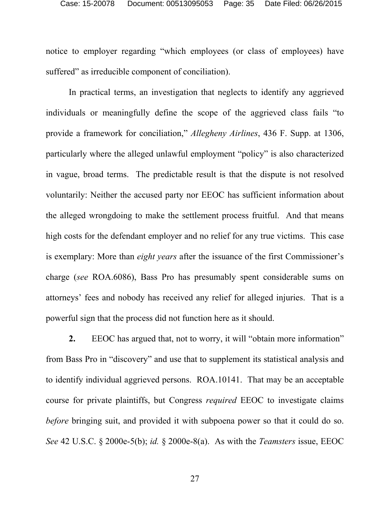notice to employer regarding "which employees (or class of employees) have suffered" as irreducible component of conciliation).

In practical terms, an investigation that neglects to identify any aggrieved individuals or meaningfully define the scope of the aggrieved class fails "to provide a framework for conciliation," *Allegheny Airlines*, 436 F. Supp. at 1306, particularly where the alleged unlawful employment "policy" is also characterized in vague, broad terms. The predictable result is that the dispute is not resolved voluntarily: Neither the accused party nor EEOC has sufficient information about the alleged wrongdoing to make the settlement process fruitful. And that means high costs for the defendant employer and no relief for any true victims. This case is exemplary: More than *eight years* after the issuance of the first Commissioner's charge (*see* ROA.6086), Bass Pro has presumably spent considerable sums on attorneys' fees and nobody has received any relief for alleged injuries. That is a powerful sign that the process did not function here as it should.

**2.** EEOC has argued that, not to worry, it will "obtain more information" from Bass Pro in "discovery" and use that to supplement its statistical analysis and to identify individual aggrieved persons. ROA.10141. That may be an acceptable course for private plaintiffs, but Congress *required* EEOC to investigate claims *before* bringing suit, and provided it with subpoena power so that it could do so. *See* 42 U.S.C. § 2000e-5(b); *id.* § 2000e-8(a). As with the *Teamsters* issue, EEOC

27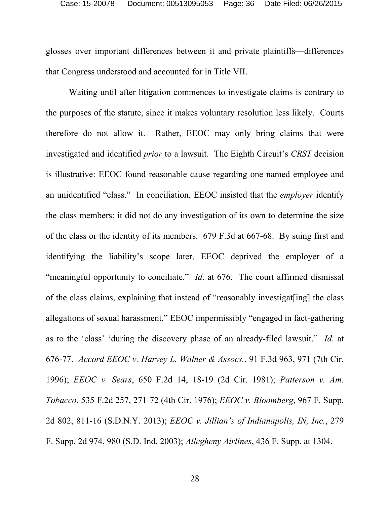glosses over important differences between it and private plaintiffs—differences that Congress understood and accounted for in Title VII.

Waiting until after litigation commences to investigate claims is contrary to the purposes of the statute, since it makes voluntary resolution less likely. Courts therefore do not allow it. Rather, EEOC may only bring claims that were investigated and identified *prior* to a lawsuit. The Eighth Circuit's *CRST* decision is illustrative: EEOC found reasonable cause regarding one named employee and an unidentified "class." In conciliation, EEOC insisted that the *employer* identify the class members; it did not do any investigation of its own to determine the size of the class or the identity of its members. 679 F.3d at 667-68. By suing first and identifying the liability's scope later, EEOC deprived the employer of a "meaningful opportunity to conciliate." *Id*. at 676. The court affirmed dismissal of the class claims, explaining that instead of "reasonably investigat[ing] the class allegations of sexual harassment," EEOC impermissibly "engaged in fact-gathering as to the 'class' 'during the discovery phase of an already-filed lawsuit." *Id*. at 676-77. *Accord EEOC v. Harvey L. Walner & Assocs.*, 91 F.3d 963, 971 (7th Cir. 1996); *EEOC v. Sears*, 650 F.2d 14, 18-19 (2d Cir. 1981); *Patterson v. Am. Tobacco*, 535 F.2d 257, 271-72 (4th Cir. 1976); *EEOC v. Bloomberg*, 967 F. Supp. 2d 802, 811-16 (S.D.N.Y. 2013); *EEOC v. Jillian's of Indianapolis, IN, Inc.*, 279 F. Supp. 2d 974, 980 (S.D. Ind. 2003); *Allegheny Airlines*, 436 F. Supp. at 1304.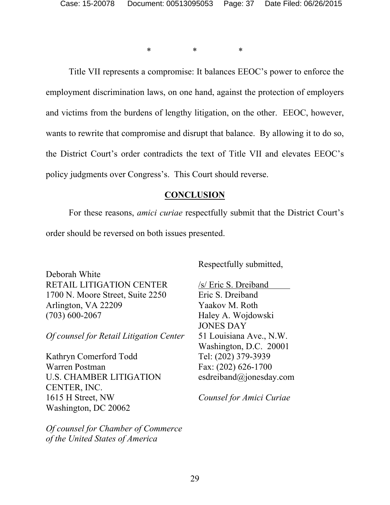\* \* \*

Title VII represents a compromise: It balances EEOC's power to enforce the employment discrimination laws, on one hand, against the protection of employers and victims from the burdens of lengthy litigation, on the other. EEOC, however, wants to rewrite that compromise and disrupt that balance. By allowing it to do so, the District Court's order contradicts the text of Title VII and elevates EEOC's policy judgments over Congress's. This Court should reverse.

#### **CONCLUSION**

 For these reasons, *amici curiae* respectfully submit that the District Court's order should be reversed on both issues presented.

Deborah White RETAIL LITIGATION CENTER 1700 N. Moore Street, Suite 2250 Arlington, VA 22209 (703) 600-2067

*Of counsel for Retail Litigation Center* 

Kathryn Comerford Todd Warren Postman U.S. CHAMBER LITIGATION CENTER, INC. 1615 H Street, NW Washington, DC 20062

*Of counsel for Chamber of Commerce of the United States of America*

Respectfully submitted,

/s/ Eric S. Dreiband Eric S. Dreiband Yaakov M. Roth Haley A. Wojdowski JONES DAY 51 Louisiana Ave., N.W. Washington, D.C. 20001 Tel: (202) 379-3939 Fax: (202) 626-1700 esdreiband@jonesday.com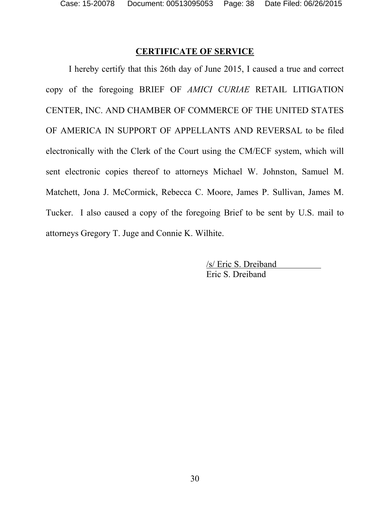## **CERTIFICATE OF SERVICE**

 I hereby certify that this 26th day of June 2015, I caused a true and correct copy of the foregoing BRIEF OF *AMICI CURIAE* RETAIL LITIGATION CENTER, INC. AND CHAMBER OF COMMERCE OF THE UNITED STATES OF AMERICA IN SUPPORT OF APPELLANTS AND REVERSAL to be filed electronically with the Clerk of the Court using the CM/ECF system, which will sent electronic copies thereof to attorneys Michael W. Johnston, Samuel M. Matchett, Jona J. McCormick, Rebecca C. Moore, James P. Sullivan, James M. Tucker. I also caused a copy of the foregoing Brief to be sent by U.S. mail to attorneys Gregory T. Juge and Connie K. Wilhite.

> /s/ Eric S. Dreiband Eric S. Dreiband